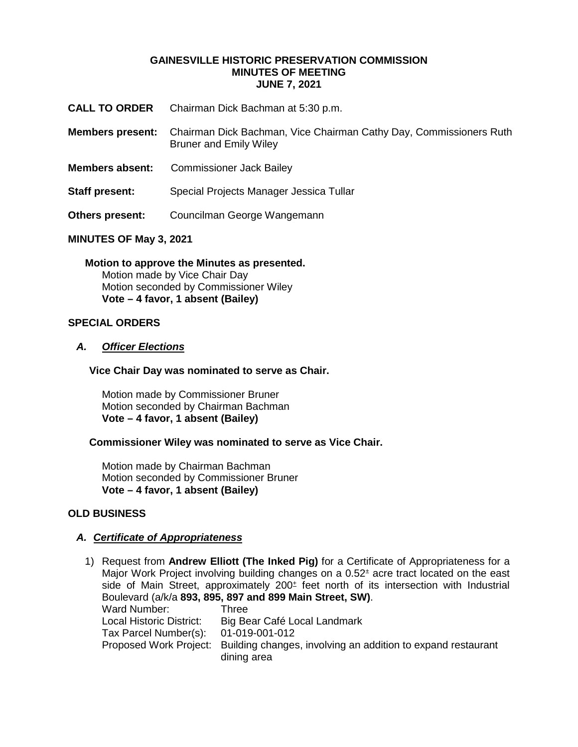### **GAINESVILLE HISTORIC PRESERVATION COMMISSION MINUTES OF MEETING JUNE 7, 2021**

- **CALL TO ORDER** Chairman Dick Bachman at 5:30 p.m.
- **Members present:** Chairman Dick Bachman, Vice Chairman Cathy Day, Commissioners Ruth Bruner and Emily Wiley
- **Members absent:** Commissioner Jack Bailey
- **Staff present:** Special Projects Manager Jessica Tullar
- **Others present:** Councilman George Wangemann

### **MINUTES OF May 3, 2021**

**Motion to approve the Minutes as presented.** Motion made by Vice Chair Day Motion seconded by Commissioner Wiley **Vote – 4 favor, 1 absent (Bailey)** 

## **SPECIAL ORDERS**

### *A. Officer Elections*

**Vice Chair Day was nominated to serve as Chair.**

Motion made by Commissioner Bruner Motion seconded by Chairman Bachman **Vote – 4 favor, 1 absent (Bailey)**

### **Commissioner Wiley was nominated to serve as Vice Chair.**

Motion made by Chairman Bachman Motion seconded by Commissioner Bruner **Vote – 4 favor, 1 absent (Bailey)**

### **OLD BUSINESS**

### *A. Certificate of Appropriateness*

1) Request from **Andrew Elliott (The Inked Pig)** for a Certificate of Appropriateness for a Major Work Project involving building changes on a 0.52<sup>+</sup> acre tract located on the east side of Main Street, approximately  $200<sup>±</sup>$  feet north of its intersection with Industrial Boulevard (a/k/a **893, 895, 897 and 899 Main Street, SW)**. Ward Number: Three Local Historic District: Big Bear Café Local Landmark Tax Parcel Number(s): 01-019-001-012 Proposed Work Project: Building changes, involving an addition to expand restaurant dining area